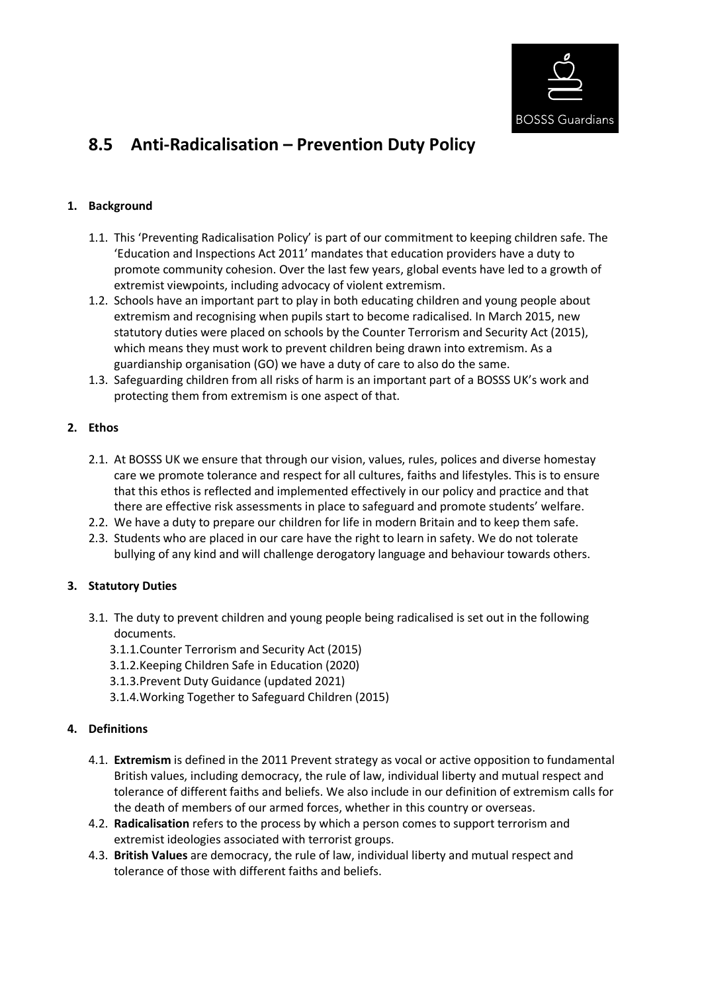

# **8.5 Anti-Radicalisation – Prevention Duty Policy**

# **1. Background**

- 1.1. This 'Preventing Radicalisation Policy' is part of our commitment to keeping children safe. The 'Education and Inspections Act 2011' mandates that education providers have a duty to promote community cohesion. Over the last few years, global events have led to a growth of extremist viewpoints, including advocacy of violent extremism.
- 1.2. Schools have an important part to play in both educating children and young people about extremism and recognising when pupils start to become radicalised. In March 2015, new statutory duties were placed on schools by the Counter Terrorism and Security Act (2015), which means they must work to prevent children being drawn into extremism. As a guardianship organisation (GO) we have a duty of care to also do the same.
- 1.3. Safeguarding children from all risks of harm is an important part of a BOSSS UK's work and protecting them from extremism is one aspect of that.

# **2. Ethos**

- 2.1. At BOSSS UK we ensure that through our vision, values, rules, polices and diverse homestay care we promote tolerance and respect for all cultures, faiths and lifestyles. This is to ensure that this ethos is reflected and implemented effectively in our policy and practice and that there are effective risk assessments in place to safeguard and promote students' welfare.
- 2.2. We have a duty to prepare our children for life in modern Britain and to keep them safe.
- 2.3. Students who are placed in our care have the right to learn in safety. We do not tolerate bullying of any kind and will challenge derogatory language and behaviour towards others.

# **3. Statutory Duties**

- 3.1. The duty to prevent children and young people being radicalised is set out in the following documents.
	- 3.1.1.Counter Terrorism and Security Act (2015)
	- 3.1.2.Keeping Children Safe in Education (2020)
	- 3.1.3.Prevent Duty Guidance (updated 2021)
	- 3.1.4.Working Together to Safeguard Children (2015)

# **4. Definitions**

- 4.1. **Extremism** is defined in the 2011 Prevent strategy as vocal or active opposition to fundamental British values, including democracy, the rule of law, individual liberty and mutual respect and tolerance of different faiths and beliefs. We also include in our definition of extremism calls for the death of members of our armed forces, whether in this country or overseas.
- 4.2. **Radicalisation** refers to the process by which a person comes to support terrorism and extremist ideologies associated with terrorist groups.
- 4.3. **British Values** are democracy, the rule of law, individual liberty and mutual respect and tolerance of those with different faiths and beliefs.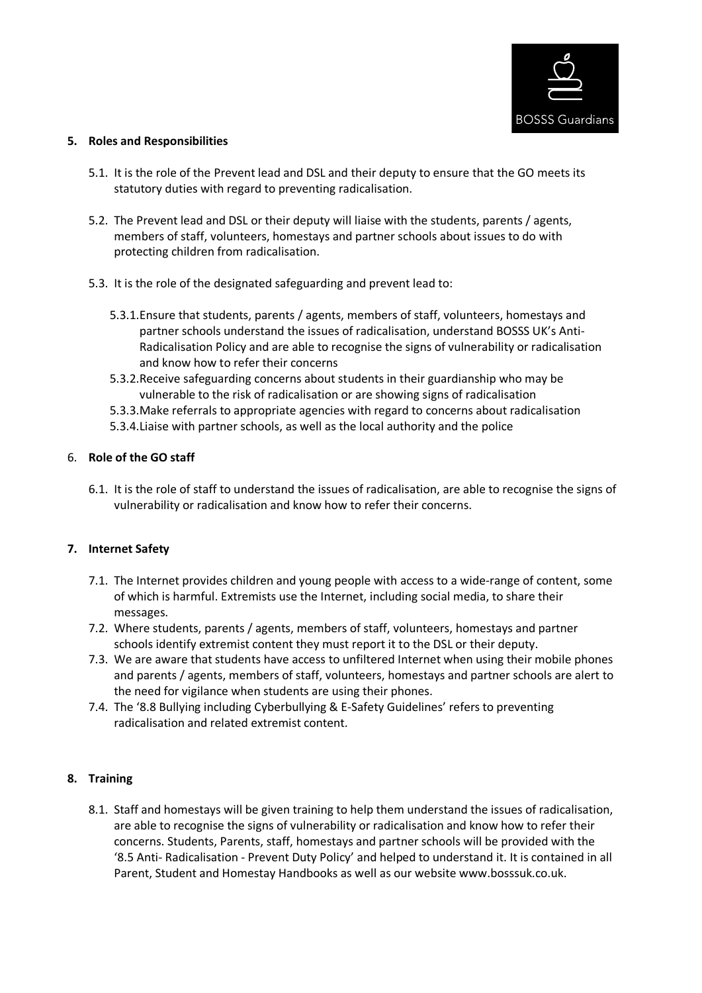

#### **5. Roles and Responsibilities**

- 5.1. It is the role of the Prevent lead and DSL and their deputy to ensure that the GO meets its statutory duties with regard to preventing radicalisation.
- 5.2. The Prevent lead and DSL or their deputy will liaise with the students, parents / agents, members of staff, volunteers, homestays and partner schools about issues to do with protecting children from radicalisation.
- 5.3. It is the role of the designated safeguarding and prevent lead to:
	- 5.3.1.Ensure that students, parents / agents, members of staff, volunteers, homestays and partner schools understand the issues of radicalisation, understand BOSSS UK's Anti-Radicalisation Policy and are able to recognise the signs of vulnerability or radicalisation and know how to refer their concerns
	- 5.3.2.Receive safeguarding concerns about students in their guardianship who may be vulnerable to the risk of radicalisation or are showing signs of radicalisation
	- 5.3.3.Make referrals to appropriate agencies with regard to concerns about radicalisation
	- 5.3.4.Liaise with partner schools, as well as the local authority and the police

#### 6. **Role of the GO staff**

6.1. It is the role of staff to understand the issues of radicalisation, are able to recognise the signs of vulnerability or radicalisation and know how to refer their concerns.

#### **7. Internet Safety**

- 7.1. The Internet provides children and young people with access to a wide-range of content, some of which is harmful. Extremists use the Internet, including social media, to share their messages.
- 7.2. Where students, parents / agents, members of staff, volunteers, homestays and partner schools identify extremist content they must report it to the DSL or their deputy.
- 7.3. We are aware that students have access to unfiltered Internet when using their mobile phones and parents / agents, members of staff, volunteers, homestays and partner schools are alert to the need for vigilance when students are using their phones.
- 7.4. The '8.8 Bullying including Cyberbullying & E-Safety Guidelines' refers to preventing radicalisation and related extremist content.

# **8. Training**

8.1. Staff and homestays will be given training to help them understand the issues of radicalisation, are able to recognise the signs of vulnerability or radicalisation and know how to refer their concerns. Students, Parents, staff, homestays and partner schools will be provided with the '8.5 Anti- Radicalisation - Prevent Duty Policy' and helped to understand it. It is contained in all Parent, Student and Homestay Handbooks as well as our website www.bosssuk.co.uk.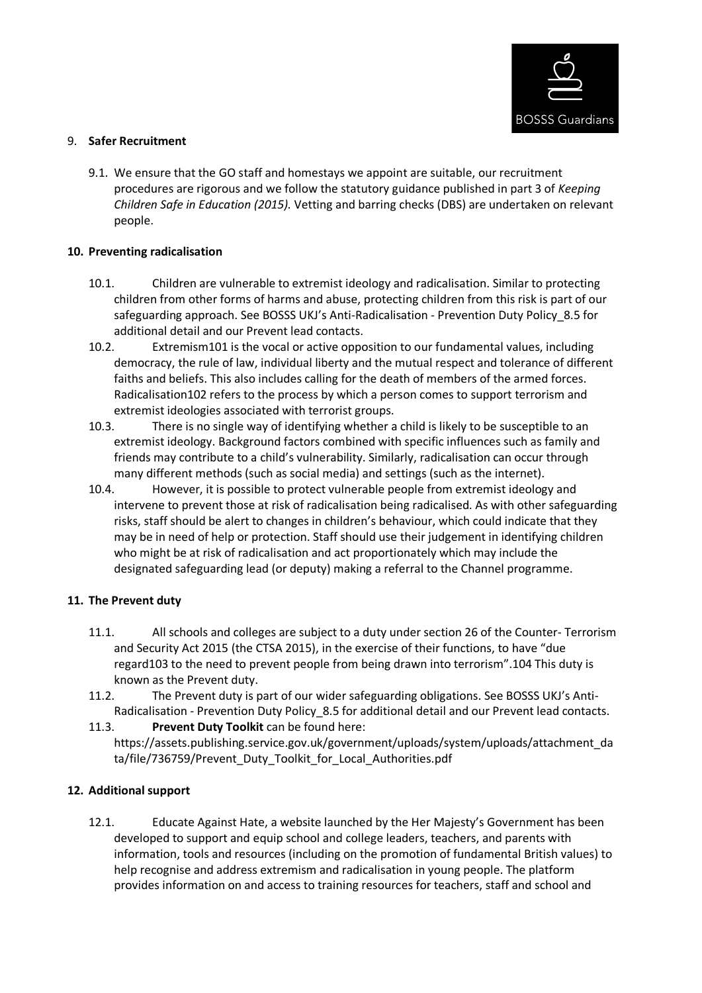

#### 9. **Safer Recruitment**

9.1. We ensure that the GO staff and homestays we appoint are suitable, our recruitment procedures are rigorous and we follow the statutory guidance published in part 3 of *Keeping Children Safe in Education (2015).* Vetting and barring checks (DBS) are undertaken on relevant people.

#### **10. Preventing radicalisation**

- 10.1. Children are vulnerable to extremist ideology and radicalisation. Similar to protecting children from other forms of harms and abuse, protecting children from this risk is part of our safeguarding approach. See BOSSS UKJ's Anti-Radicalisation - Prevention Duty Policy\_8.5 for additional detail and our Prevent lead contacts.
- 10.2. Extremism101 is the vocal or active opposition to our fundamental values, including democracy, the rule of law, individual liberty and the mutual respect and tolerance of different faiths and beliefs. This also includes calling for the death of members of the armed forces. Radicalisation102 refers to the process by which a person comes to support terrorism and extremist ideologies associated with terrorist groups.
- 10.3. There is no single way of identifying whether a child is likely to be susceptible to an extremist ideology. Background factors combined with specific influences such as family and friends may contribute to a child's vulnerability. Similarly, radicalisation can occur through many different methods (such as social media) and settings (such as the internet).
- 10.4. However, it is possible to protect vulnerable people from extremist ideology and intervene to prevent those at risk of radicalisation being radicalised. As with other safeguarding risks, staff should be alert to changes in children's behaviour, which could indicate that they may be in need of help or protection. Staff should use their judgement in identifying children who might be at risk of radicalisation and act proportionately which may include the designated safeguarding lead (or deputy) making a referral to the Channel programme.

# **11. The Prevent duty**

- 11.1. All schools and colleges are subject to a duty under section 26 of the Counter- Terrorism and Security Act 2015 (the CTSA 2015), in the exercise of their functions, to have "due regard103 to the need to prevent people from being drawn into terrorism".104 This duty is known as the Prevent duty.
- 11.2. The Prevent duty is part of our wider safeguarding obligations. See BOSSS UKJ's Anti-Radicalisation - Prevention Duty Policy\_8.5 for additional detail and our Prevent lead contacts.
- 11.3. **Prevent Duty Toolkit** can be found here: https://assets.publishing.service.gov.uk/government/uploads/system/uploads/attachment\_da ta/file/736759/Prevent\_Duty\_Toolkit\_for\_Local\_Authorities.pdf

# **12. Additional support**

12.1. Educate Against Hate, a website launched by the Her Majesty's Government has been developed to support and equip school and college leaders, teachers, and parents with information, tools and resources (including on the promotion of fundamental British values) to help recognise and address extremism and radicalisation in young people. The platform provides information on and access to training resources for teachers, staff and school and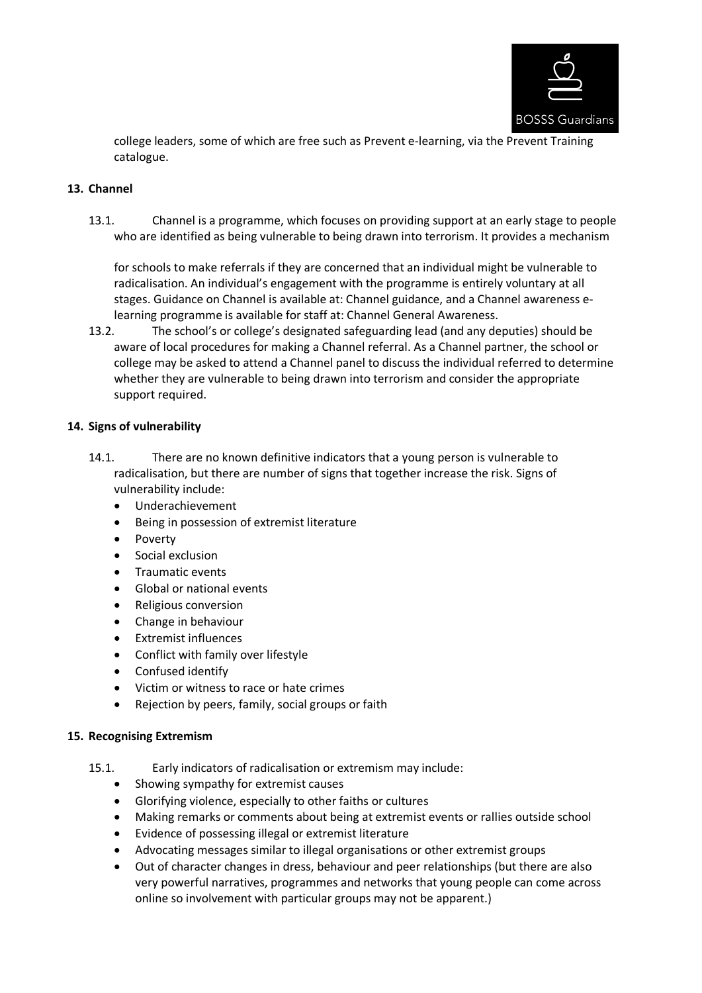

college leaders, some of which are free such as Prevent e-learning, via the Prevent Training catalogue.

#### **13. Channel**

13.1. Channel is a programme, which focuses on providing support at an early stage to people who are identified as being vulnerable to being drawn into terrorism. It provides a mechanism

for schools to make referrals if they are concerned that an individual might be vulnerable to radicalisation. An individual's engagement with the programme is entirely voluntary at all stages. Guidance on Channel is available at: Channel guidance, and a Channel awareness elearning programme is available for staff at: Channel General Awareness.

13.2. The school's or college's designated safeguarding lead (and any deputies) should be aware of local procedures for making a Channel referral. As a Channel partner, the school or college may be asked to attend a Channel panel to discuss the individual referred to determine whether they are vulnerable to being drawn into terrorism and consider the appropriate support required.

#### **14. Signs of vulnerability**

- 14.1. There are no known definitive indicators that a young person is vulnerable to radicalisation, but there are number of signs that together increase the risk. Signs of vulnerability include:
	- Underachievement
	- Being in possession of extremist literature
	- Poverty
	- Social exclusion
	- Traumatic events
	- Global or national events
	- Religious conversion
	- Change in behaviour
	- Extremist influences
	- Conflict with family over lifestyle
	- Confused identify
	- Victim or witness to race or hate crimes
	- Rejection by peers, family, social groups or faith

#### **15. Recognising Extremism**

- 15.1. Early indicators of radicalisation or extremism may include:
	- Showing sympathy for extremist causes
	- Glorifying violence, especially to other faiths or cultures
	- Making remarks or comments about being at extremist events or rallies outside school
	- Evidence of possessing illegal or extremist literature
	- Advocating messages similar to illegal organisations or other extremist groups
	- Out of character changes in dress, behaviour and peer relationships (but there are also very powerful narratives, programmes and networks that young people can come across online so involvement with particular groups may not be apparent.)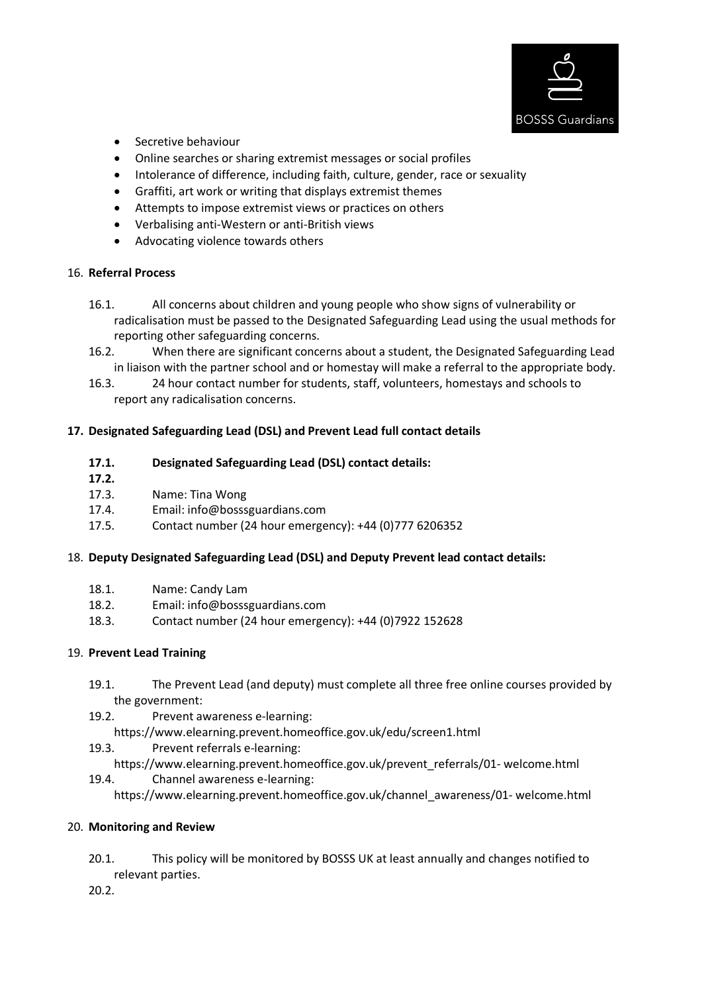

- Secretive behaviour
- Online searches or sharing extremist messages or social profiles
- Intolerance of difference, including faith, culture, gender, race or sexuality
- Graffiti, art work or writing that displays extremist themes
- Attempts to impose extremist views or practices on others
- Verbalising anti-Western or anti-British views
- Advocating violence towards others

# 16. **Referral Process**

- 16.1. All concerns about children and young people who show signs of vulnerability or radicalisation must be passed to the Designated Safeguarding Lead using the usual methods for reporting other safeguarding concerns.
- 16.2. When there are significant concerns about a student, the Designated Safeguarding Lead in liaison with the partner school and or homestay will make a referral to the appropriate body.
- 16.3. 24 hour contact number for students, staff, volunteers, homestays and schools to report any radicalisation concerns.

# **17. Designated Safeguarding Lead (DSL) and Prevent Lead full contact details**

#### **17.1. Designated Safeguarding Lead (DSL) contact details:**

- **17.2.**
- 17.3. Name: Tina Wong
- 17.4. Email: info@bosssguardians.com
- 17.5. Contact number (24 hour emergency): +44 (0)777 6206352

# 18. **Deputy Designated Safeguarding Lead (DSL) and Deputy Prevent lead contact details:**

- 18.1. Name: Candy Lam
- 18.2. Email: info@bosssguardians.com
- 18.3. Contact number (24 hour emergency): +44 (0)7922 152628

# 19. **Prevent Lead Training**

- 19.1. The Prevent Lead (and deputy) must complete all three free online courses provided by the government:
- 19.2. Prevent awareness e-learning:
	- https://www.elearning.prevent.homeoffice.gov.uk/edu/screen1.html
- 19.3. Prevent referrals e-learning:
- https://www.elearning.prevent.homeoffice.gov.uk/prevent\_referrals/01- welcome.html
- 19.4. Channel awareness e-learning:
	- https://www.elearning.prevent.homeoffice.gov.uk/channel\_awareness/01- welcome.html

# 20. **Monitoring and Review**

20.1. This policy will be monitored by BOSSS UK at least annually and changes notified to relevant parties.

20.2.